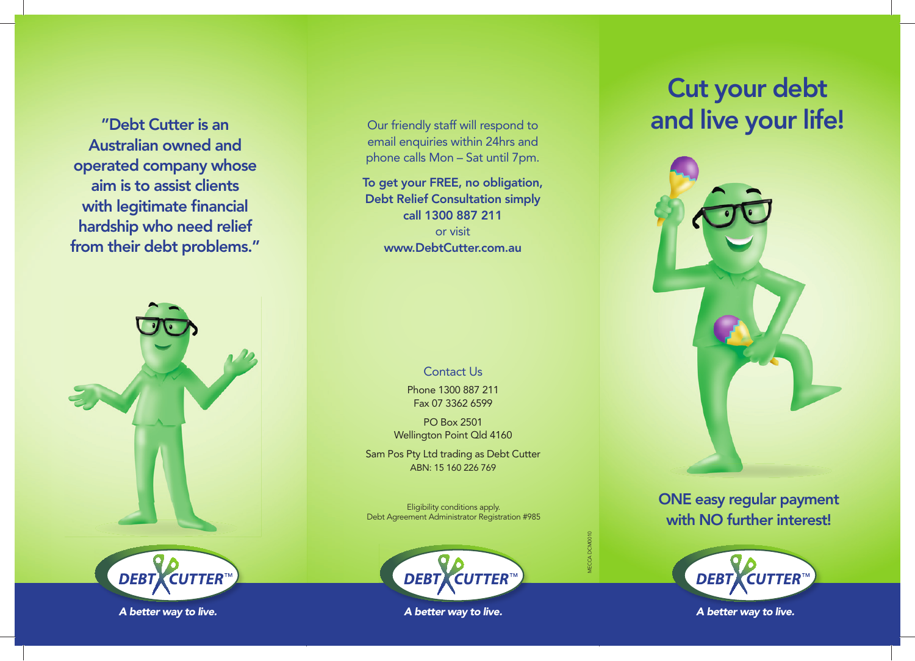Australian owned and operated company whose aim is to assist clients with legitimate financial hardship who need relief from their debt problems."





# Our friendly staff will respond to email enquiries within 24hrs and phone calls Mon – Sat until 7pm.

To get your FREE, no obligation, Debt Relief Consultation simply call 1300 887 211 or visit www.DebtCutter.com.au

Contact Us

Phone 1300 887 211 Fax 07 3362 6599

PO Box 2501 Wellington Point Qld 4160

Sam Pos Pty Ltd trading as Debt Cutter ABN: 15 160 226 769

Eligibility conditions apply. Debt Agreement Administrator Registration #985



MECCA DCM0010

*A better way to live. A b li A better way to live. A b li A better way to live. A b li*

# Cut your debt **The View of the Cutter is an** and **live your life!** The United State of the State of the State of the State of the State of the State of the State of the State of the State of the State of the State of the State of the St



ONE easy regular payment with NO further interest!